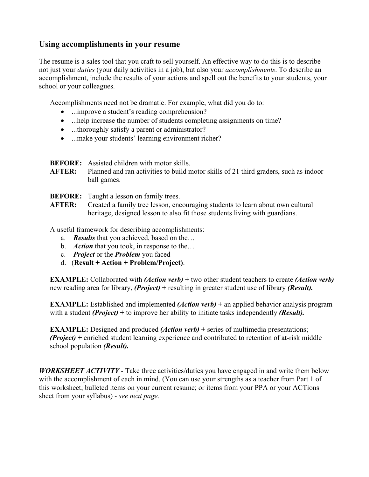## **Using accomplishments in your resume**

The resume is a sales tool that you craft to sell yourself. An effective way to do this is to describe not just your *duties* (your daily activities in a job), but also your *accomplishments*. To describe an accomplishment, include the results of your actions and spell out the benefits to your students, your school or your colleagues.

Accomplishments need not be dramatic. For example, what did you do to:

- ...improve a student's reading comprehension?
- ...help increase the number of students completing assignments on time?
- ...thoroughly satisfy a parent or administrator?
- ...make your students' learning environment richer?

**BEFORE:** Assisted children with motor skills.

- **AFTER:** Planned and ran activities to build motor skills of 21 third graders, such as indoor ball games.
- **BEFORE:** Taught a lesson on family trees.
- **AFTER:** Created a family tree lesson, encouraging students to learn about own cultural heritage, designed lesson to also fit those students living with guardians.

A useful framework for describing accomplishments:

- a. *Results* that you achieved, based on the…
- b. *Action* that you took, in response to the…
- c. *Project* or the *Problem* you faced
- d. (**Result + Action + Problem/Project)**.

**EXAMPLE:** Collaborated with *(Action verb)* **+** two other student teachers to create *(Action verb)* new reading area for library, *(Project)* **+** resulting in greater student use of library *(Result).*

**EXAMPLE:** Established and implemented *(Action verb)* + an applied behavior analysis program with a student *(Project)* + to improve her ability to initiate tasks independently *(Result)*.

**EXAMPLE:** Designed and produced *(Action verb)* + series of multimedia presentations; *(Project)* **+** enriched student learning experience and contributed to retention of at-risk middle school population *(Result).*

*WORKSHEET ACTIVITY* - Take three activities/duties you have engaged in and write them below with the accomplishment of each in mind. (You can use your strengths as a teacher from Part 1 of this worksheet; bulleted items on your current resume; or items from your PPA or your ACTions sheet from your syllabus) *- see next page.*